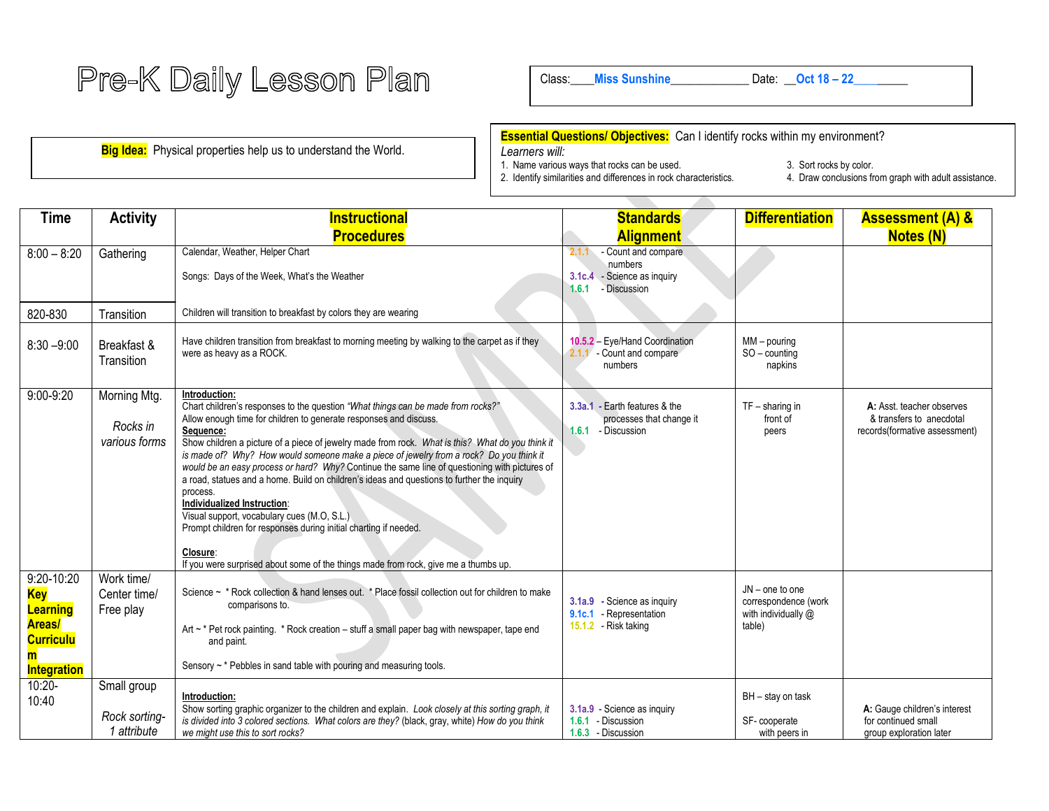## Pre-K Daily Lesson Plan

Class:\_\_\_\_**Miss Sunshine**\_\_\_\_\_\_\_\_\_\_\_\_\_ Date: \_\_**Oct 18 – 22\_\_\_\_**\_\_\_\_\_

**Big Idea:** Physical properties help us to understand the World.

**Essential Questions/ Objectives:** Can I identify rocks within my environment?

*Learners will:*

2. Identify similarities and differences in rock characteristics.

1. Name various ways that rocks can be used. <br>1. Identify similarities and differences in rock characteristics. 4. Draw conclusions from graph with adult assistance.

| Time                                                                                                 | <b>Activity</b>                             | <b>Instructional</b>                                                                                                                                                                                                                                                                                                                                                                                                                                                                                                                                                                                                                                                                                                                                                                                                                               |                          | <b>Standards</b>                                                               | <b>Differentiation</b>                                                     | <b>Assessment (A) &amp;</b>                                                            |
|------------------------------------------------------------------------------------------------------|---------------------------------------------|----------------------------------------------------------------------------------------------------------------------------------------------------------------------------------------------------------------------------------------------------------------------------------------------------------------------------------------------------------------------------------------------------------------------------------------------------------------------------------------------------------------------------------------------------------------------------------------------------------------------------------------------------------------------------------------------------------------------------------------------------------------------------------------------------------------------------------------------------|--------------------------|--------------------------------------------------------------------------------|----------------------------------------------------------------------------|----------------------------------------------------------------------------------------|
|                                                                                                      |                                             | <b>Procedures</b>                                                                                                                                                                                                                                                                                                                                                                                                                                                                                                                                                                                                                                                                                                                                                                                                                                  |                          | <b>Alignment</b>                                                               |                                                                            | <b>Notes (N)</b>                                                                       |
| $8:00 - 8:20$                                                                                        | Gathering                                   | Calendar, Weather, Helper Chart<br>Songs: Days of the Week, What's the Weather                                                                                                                                                                                                                                                                                                                                                                                                                                                                                                                                                                                                                                                                                                                                                                     | 2.1.1<br>3.1c.4<br>1,6.1 | - Count and compare<br>numbers<br>- Science as inquiry<br>- Discussion         |                                                                            |                                                                                        |
| 820-830                                                                                              | Transition                                  | Children will transition to breakfast by colors they are wearing                                                                                                                                                                                                                                                                                                                                                                                                                                                                                                                                                                                                                                                                                                                                                                                   |                          |                                                                                |                                                                            |                                                                                        |
| $8:30 - 9:00$                                                                                        | Breakfast &<br>Transition                   | Have children transition from breakfast to morning meeting by walking to the carpet as if they<br>were as heavy as a ROCK.                                                                                                                                                                                                                                                                                                                                                                                                                                                                                                                                                                                                                                                                                                                         |                          | 10.5.2 - Eye/Hand Coordination<br>2.1.1 - Count and compare<br>numbers         | $MM$ – pouring<br>$SO$ – counting<br>napkins                               |                                                                                        |
| 9:00-9:20                                                                                            | Morning Mtg.<br>Rocks in<br>various forms   | Introduction:<br>Chart children's responses to the question "What things can be made from rocks?"<br>Allow enough time for children to generate responses and discuss.<br>Sequence:<br>Show children a picture of a piece of jewelry made from rock. What is this? What do you think it<br>is made of? Why? How would someone make a piece of jewelry from a rock? Do you think it<br>would be an easy process or hard? Why? Continue the same line of questioning with pictures of<br>a road, statues and a home. Build on children's ideas and questions to further the inquiry<br>process.<br>Individualized Instruction:<br>Visual support, vocabulary cues (M.O, S.L.)<br>Prompt children for responses during initial charting if needed.<br>Closure:<br>If you were surprised about some of the things made from rock, give me a thumbs up. | 1.6.1                    | 3.3a.1 - Earth features & the<br>processes that change it<br>- Discussion      | $TF - sharing$ in<br>front of<br>peers                                     | A: Asst. teacher observes<br>& transfers to anecdotal<br>records(formative assessment) |
| 9:20-10:20<br><b>Key</b><br>Learning<br><b>Areas/</b><br><b>Curriculu</b><br>m<br><b>Integration</b> | Work time/<br>Center time/<br>Free play     | Science ~ * Rock collection & hand lenses out. * Place fossil collection out for children to make<br>comparisons to.<br>Art ~ * Pet rock painting. * Rock creation – stuff a small paper bag with newspaper, tape end<br>and paint.<br>Sensory ~ * Pebbles in sand table with pouring and measuring tools.                                                                                                                                                                                                                                                                                                                                                                                                                                                                                                                                         |                          | 3.1a.9 - Science as inquiry<br>9.1c.1 - Representation<br>15.1.2 - Risk taking | $JN$ – one to one<br>correspondence (work<br>with individually @<br>table) |                                                                                        |
| $10:20 -$<br>10:40                                                                                   | Small group<br>Rock sorting-<br>1 attribute | Introduction:<br>Show sorting graphic organizer to the children and explain. Look closely at this sorting graph, it<br>is divided into 3 colored sections. What colors are they? (black, gray, white) How do you think<br>we might use this to sort rocks?                                                                                                                                                                                                                                                                                                                                                                                                                                                                                                                                                                                         |                          | 3.1a.9 - Science as inquiry<br>1.6.1 - Discussion<br>1.6.3 - Discussion        | BH - stay on task<br>SF-cooperate<br>with peers in                         | A: Gauge children's interest<br>for continued small<br>group exploration later         |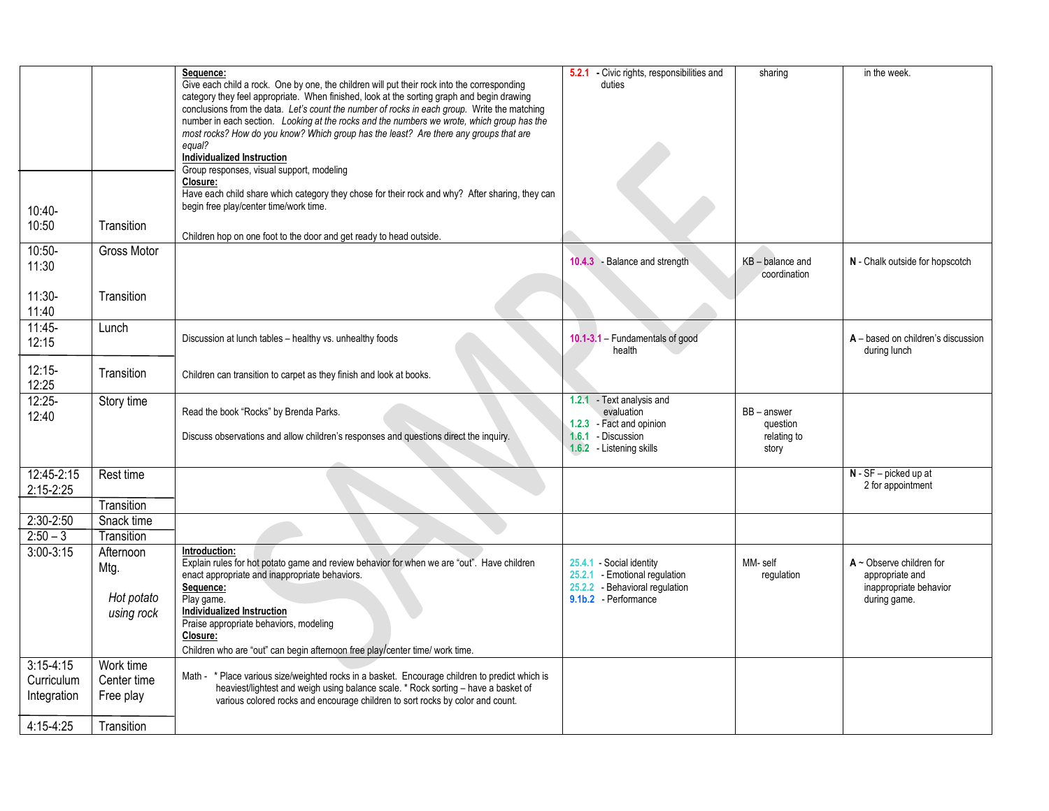|                                            |                                               | Sequence:<br>Give each child a rock. One by one, the children will put their rock into the corresponding<br>category they feel appropriate. When finished, look at the sorting graph and begin drawing<br>conclusions from the data. Let's count the number of rocks in each group. Write the matching<br>number in each section. Looking at the rocks and the numbers we wrote, which group has the<br>most rocks? How do you know? Which group has the least? Are there any groups that are<br>equal?<br>Individualized Instruction<br>Group responses, visual support, modeling<br>Closure: | 5.2.1 - Civic rights, responsibilities and<br>duties                                                                  | sharing                                           | in the week.                                                                               |
|--------------------------------------------|-----------------------------------------------|------------------------------------------------------------------------------------------------------------------------------------------------------------------------------------------------------------------------------------------------------------------------------------------------------------------------------------------------------------------------------------------------------------------------------------------------------------------------------------------------------------------------------------------------------------------------------------------------|-----------------------------------------------------------------------------------------------------------------------|---------------------------------------------------|--------------------------------------------------------------------------------------------|
| 10:40-<br>10:50                            | Transition                                    | Have each child share which category they chose for their rock and why? After sharing, they can<br>begin free play/center time/work time.<br>Children hop on one foot to the door and get ready to head outside.                                                                                                                                                                                                                                                                                                                                                                               |                                                                                                                       |                                                   |                                                                                            |
| $10:50-$<br>11:30                          | Gross Motor                                   |                                                                                                                                                                                                                                                                                                                                                                                                                                                                                                                                                                                                | 10.4.3 - Balance and strength                                                                                         | KB-balance and<br>coordination                    | N - Chalk outside for hopscotch                                                            |
| $11:30-$<br>11:40                          | Transition                                    |                                                                                                                                                                                                                                                                                                                                                                                                                                                                                                                                                                                                |                                                                                                                       |                                                   |                                                                                            |
| $11:45-$<br>12:15                          | Lunch                                         | Discussion at lunch tables - healthy vs. unhealthy foods                                                                                                                                                                                                                                                                                                                                                                                                                                                                                                                                       | 10.1-3.1 - Fundamentals of good<br>health                                                                             |                                                   | $A -$ based on children's discussion<br>during lunch                                       |
| $12:15-$<br>12:25                          | Transition                                    | Children can transition to carpet as they finish and look at books.                                                                                                                                                                                                                                                                                                                                                                                                                                                                                                                            |                                                                                                                       |                                                   |                                                                                            |
| $12:25 -$<br>12:40                         | Story time                                    | Read the book "Rocks" by Brenda Parks.<br>Discuss observations and allow children's responses and questions direct the inquiry.                                                                                                                                                                                                                                                                                                                                                                                                                                                                | 1.2.1 - Text analysis and<br>evaluation<br>1.2.3 - Fact and opinion<br>1.6.1 - Discussion<br>1.6.2 - Listening skills | $BB - answer$<br>question<br>relating to<br>story |                                                                                            |
| 12:45-2:15<br>$2:15 - 2:25$                | Rest time<br>Transition                       |                                                                                                                                                                                                                                                                                                                                                                                                                                                                                                                                                                                                |                                                                                                                       |                                                   | $N - SF - picked up at$<br>2 for appointment                                               |
| 2:30-2:50<br>$2:50 - 3$                    | Snack time<br>Transition                      |                                                                                                                                                                                                                                                                                                                                                                                                                                                                                                                                                                                                |                                                                                                                       |                                                   |                                                                                            |
| $3:00 - 3:15$                              | Afternoon<br>Mtg.<br>Hot potato<br>using rock | Introduction:<br>Explain rules for hot potato game and review behavior for when we are "out". Have children<br>enact appropriate and inappropriate behaviors.<br>Sequence:<br>Play game.<br>Individualized Instruction<br>Praise appropriate behaviors, modeling<br>Closure:<br>Children who are "out" can begin afternoon free play/center time/ work time.                                                                                                                                                                                                                                   | 25.4.1 - Social identity<br>25.2.1 - Emotional regulation<br>25.2.2 - Behavioral regulation<br>9.1b.2 - Performance   | MM-self<br>regulation                             | $A \sim$ Observe children for<br>appropriate and<br>inappropriate behavior<br>during game. |
| $3:15 - 4:15$<br>Curriculum<br>Integration | Work time<br>Center time<br>Free play         | Math - * Place various size/weighted rocks in a basket. Encourage children to predict which is<br>heaviest/lightest and weigh using balance scale. * Rock sorting - have a basket of<br>various colored rocks and encourage children to sort rocks by color and count.                                                                                                                                                                                                                                                                                                                         |                                                                                                                       |                                                   |                                                                                            |
| 4:15-4:25                                  | Transition                                    |                                                                                                                                                                                                                                                                                                                                                                                                                                                                                                                                                                                                |                                                                                                                       |                                                   |                                                                                            |